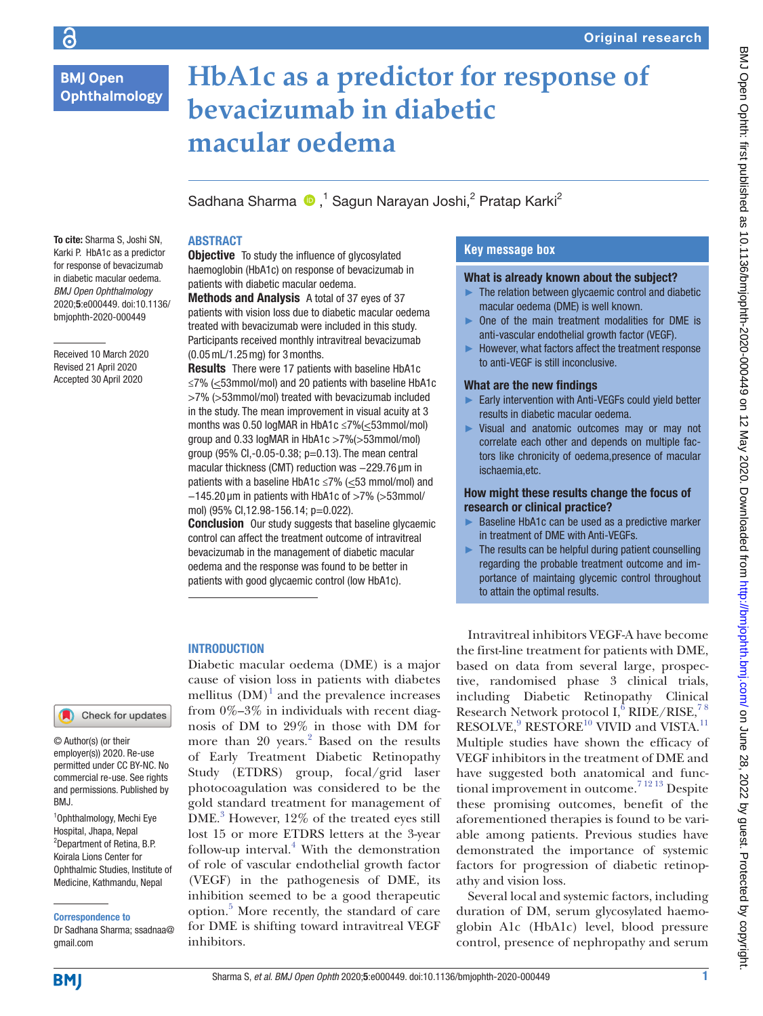$\overline{c}$ 

# **HbA1c as a predictor for response of bevacizumab in diabetic macular oedema**

Sadhana Sharma <sup>®</sup>,<sup>1</sup> Sagun Narayan Joshi,<sup>2</sup> Pratap Karki<sup>2</sup>

## **ABSTRACT**

To cite: Sharma S, Joshi SN, Karki P. HbA1c as a predictor for response of bevacizumab in diabetic macular oedema. *BMJ Open Ophthalmology* 2020;5:e000449. doi:10.1136/ bmjophth-2020-000449

Received 10 March 2020 Revised 21 April 2020 Accepted 30 April 2020

**Objective** To study the influence of glycosylated haemoglobin (HbA1c) on response of bevacizumab in patients with diabetic macular oedema.

Methods and Analysis A total of 37 eyes of 37 patients with vision loss due to diabetic macular oedema treated with bevacizumab were included in this study. Participants received monthly intravitreal bevacizumab (0.05mL/1.25mg) for 3months.

Results There were 17 patients with baseline HbA1c ≤7% (<53mmol/mol) and 20 patients with baseline HbA1c >7% (>53mmol/mol) treated with bevacizumab included in the study. The mean improvement in visual acuity at 3 months was 0.50 logMAR in HbA1c ≤7%(<53mmol/mol) group and 0.33 logMAR in HbA1c >7%(>53mmol/mol) group (95% CI,-0.05-0.38; p=0.13). The mean central macular thickness (CMT) reduction was -229.76 µm in patients with a baseline HbA1c ≤7% (≤53 mmol/mol) and −145.20 µm in patients with HbA1c of >7% (>53mmol/ mol) (95% Cl,12.98-156.14; p=0.022).

**Conclusion** Our study suggests that baseline glycaemic control can affect the treatment outcome of intravitreal bevacizumab in the management of diabetic macular oedema and the response was found to be better in patients with good glycaemic control (low HbA1c).

## **INTRODUCTION**

Check for updates

© Author(s) (or their employer(s)) 2020. Re-use permitted under CC BY-NC. No commercial re-use. See rights and permissions. Published by BMJ.

1 Ophthalmology, Mechi Eye Hospital, Jhapa, Nepal <sup>2</sup>Department of Retina, B.P. Koirala Lions Center for Ophthalmic Studies, Institute of Medicine, Kathmandu, Nepal

Correspondence to

Dr Sadhana Sharma; ssadnaa@ gmail.com

Diabetic macular oedema (DME) is a major cause of vision loss in patients with diabetes mellitus  $(DM)^1$  and the prevalence increases from  $0\%-3\%$  in individuals with recent diagnosis of DM to 29% in those with DM for more than 20 years.<sup>2</sup> Based on the results of Early Treatment Diabetic Retinopathy Study (ETDRS) group, focal/grid laser photocoagulation was considered to be the gold standard treatment for management of DME.<sup>3</sup> However, 12% of the treated eyes still lost 15 or more ETDRS letters at the 3-year follow-up interval. $4$  With the demonstration of role of vascular endothelial growth factor (VEGF) in the pathogenesis of DME, its inhibition seemed to be a good therapeutic option.5 More recently, the standard of care for DME is shifting toward intravitreal VEGF inhibitors.

# **Key message box**

## What is already known about the subject?

- ► The relation between glycaemic control and diabetic macular oedema (DME) is well known.
- ► One of the main treatment modalities for DME is anti-vascular endothelial growth factor (VEGF).
- ► However, what factors affect the treatment response to anti-VEGF is still inconclusive.

## What are the new findings

- ► Early intervention with Anti-VEGFs could yield better results in diabetic macular oedema.
- ► Visual and anatomic outcomes may or may not correlate each other and depends on multiple factors like chronicity of oedema,presence of macular ischaemia,etc.

## How might these results change the focus of research or clinical practice?

- Baseline HbA1c can be used as a predictive marker in treatment of DME with Anti-VEGFs.
- $\blacktriangleright$  The results can be helpful during patient counselling regarding the probable treatment outcome and importance of maintaing glycemic control throughout to attain the optimal results.

Intravitreal inhibitors VEGF-A have become the first-line treatment for patients with DME, based on data from several large, prospective, randomised phase 3 clinical trials, including Diabetic Retinopathy Clinical Research Network protocol I,<sup>6</sup> RIDE/RISE,<sup>78</sup>  $RESOLVE, ^{9}$  $RESOLVE, ^{9}$  $RESOLVE, ^{9}$  RESTORE<sup>10</sup> VIVID and VISTA.<sup>11</sup> Multiple studies have shown the efficacy of VEGF inhibitors in the treatment of DME and have suggested both anatomical and func-tional improvement in outcome.<sup>[7 12 13](#page-3-0)</sup> Despite these promising outcomes, benefit of the aforementioned therapies is found to be variable among patients. Previous studies have demonstrated the importance of systemic factors for progression of diabetic retinopathy and vision loss.

Several local and systemic factors, including duration of DM, serum glycosylated haemoglobin A1c (HbA1c) level, blood pressure control, presence of nephropathy and serum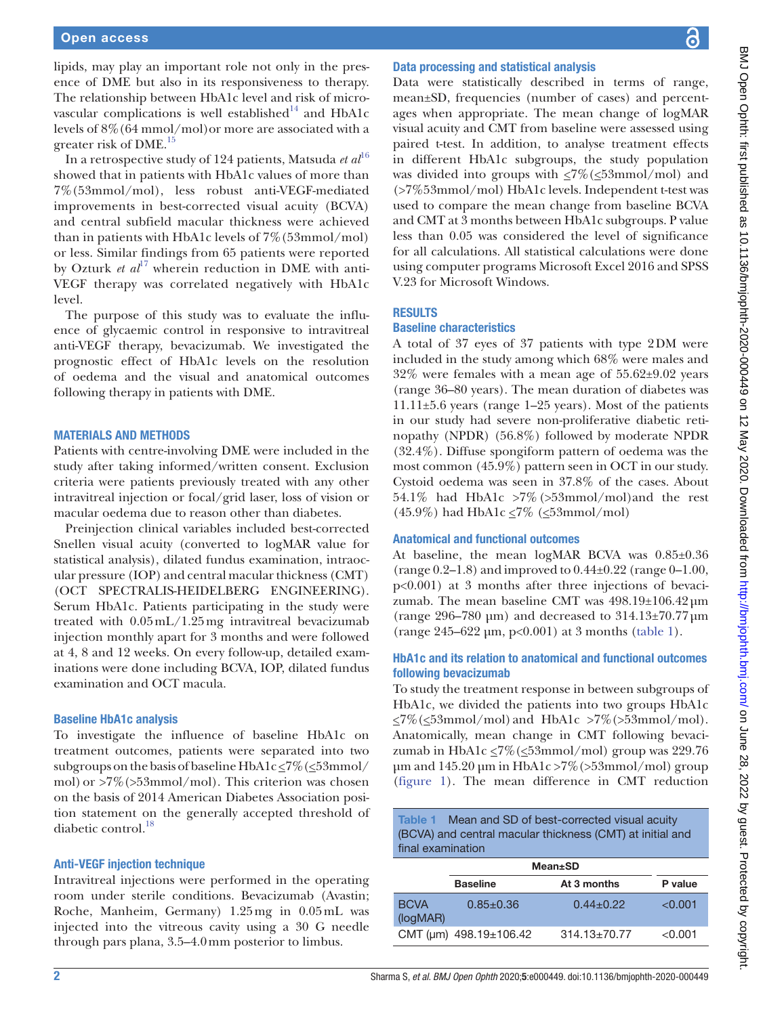lipids, may play an important role not only in the presence of DME but also in its responsiveness to therapy. The relationship between HbA1c level and risk of micro-vascular complications is well established<sup>[14](#page-3-4)</sup> and HbA1c levels of 8%(64 mmol/mol)or more are associated with a greater risk of DME.<sup>15</sup>

In a retrospective study of 124 patients, Matsuda *et al*<sup>[16](#page-3-6)</sup> showed that in patients with HbA1c values of more than 7%(53mmol/mol), less robust anti-VEGF-mediated improvements in best-corrected visual acuity (BCVA) and central subfield macular thickness were achieved than in patients with HbA1c levels of 7%(53mmol/mol) or less. Similar findings from 65 patients were reported by Ozturk *et al*<sup>17</sup> wherein reduction in DME with anti-VEGF therapy was correlated negatively with HbA1c level.

The purpose of this study was to evaluate the influence of glycaemic control in responsive to intravitreal anti-VEGF therapy, bevacizumab. We investigated the prognostic effect of HbA1c levels on the resolution of oedema and the visual and anatomical outcomes following therapy in patients with DME.

## Materials and methods

Patients with centre-involving DME were included in the study after taking informed/written consent. Exclusion criteria were patients previously treated with any other intravitreal injection or focal/grid laser, loss of vision or macular oedema due to reason other than diabetes.

Preinjection clinical variables included best-corrected Snellen visual acuity (converted to logMAR value for statistical analysis), dilated fundus examination, intraocular pressure (IOP) and central macular thickness (CMT) (OCT SPECTRALIS-HEIDELBERG ENGINEERING). Serum HbA1c. Patients participating in the study were treated with 0.05mL/1.25mg intravitreal bevacizumab injection monthly apart for 3 months and were followed at 4, 8 and 12 weeks. On every follow-up, detailed examinations were done including BCVA, IOP, dilated fundus examination and OCT macula.

#### Baseline HbA1c analysis

To investigate the influence of baseline HbA1c on treatment outcomes, patients were separated into two subgroups on the basis of baseline  $HbA1c \leq 7\%$  ( $\leq 53$ mmol/ mol) or  $>7\%$  ( $>53$ mmol/mol). This criterion was chosen on the basis of 2014 American Diabetes Association position statement on the generally accepted threshold of diabetic control.<sup>[18](#page-3-8)</sup>

## Anti-VEGF injection technique

Intravitreal injections were performed in the operating room under sterile conditions. Bevacizumab (Avastin; Roche, Manheim, Germany) 1.25mg in 0.05mL was injected into the vitreous cavity using a 30 G needle through pars plana, 3.5–4.0mm posterior to limbus.

#### Data processing and statistical analysis

Data were statistically described in terms of range, mean±SD, frequencies (number of cases) and percentages when appropriate. The mean change of logMAR visual acuity and CMT from baseline were assessed using paired t-test. In addition, to analyse treatment effects in different HbA1c subgroups, the study population was divided into groups with  $\leq 7\%$  ( $\leq 53$ mmol/mol) and (>7%53mmol/mol) HbA1c levels. Independent t-test was used to compare the mean change from baseline BCVA and CMT at 3 months between HbA1c subgroups. P value less than 0.05 was considered the level of significance for all calculations. All statistical calculations were done using computer programs Microsoft Excel 2016 and SPSS V.23 for Microsoft Windows.

## **RESULTS**

#### Baseline characteristics

A total of 37 eyes of 37 patients with type 2DM were included in the study among which 68% were males and 32% were females with a mean age of 55.62±9.02 years (range 36–80 years). The mean duration of diabetes was 11.11±5.6 years (range 1–25 years). Most of the patients in our study had severe non-proliferative diabetic retinopathy (NPDR) (56.8%) followed by moderate NPDR (32.4%). Diffuse spongiform pattern of oedema was the most common (45.9%) pattern seen in OCT in our study. Cystoid oedema was seen in 37.8% of the cases. About 54.1% had HbA1c >7%(>53mmol/mol)and the rest (45.9%) had HbA1c  $\leq$ 7% ( $\leq$ 53mmol/mol)

## Anatomical and functional outcomes

At baseline, the mean logMAR BCVA was 0.85±0.36 (range 0.2–1.8) and improved to 0.44±0.22 (range 0–1.00, p<0.001) at 3 months after three injections of bevacizumab. The mean baseline CMT was  $498.19 \pm 106.42 \,\mathrm{\upmu m}$ (range 296–780 µm) and decreased to  $314.13\pm70.77$  µm (range 245–622 µm, p<0.001) at 3 months [\(table](#page-1-0) 1).

## HbA1c and its relation to anatomical and functional outcomes following bevacizumab

To study the treatment response in between subgroups of HbA1c, we divided the patients into two groups HbA1c  $\leq$ 7%( $\leq$ 53mmol/mol) and HbA1c >7%(>53mmol/mol). Anatomically, mean change in CMT following bevacizumab in HbA1c  $\leq$ 7%( $\leq$ 53mmol/mol) group was 229.76  $\mu$ m and 145.20  $\mu$ m in HbA1c >7%(>53mmol/mol) group [\(figure](#page-2-0) 1). The mean difference in CMT reduction

<span id="page-1-0"></span>Table 1 Mean and SD of best-corrected visual acuity (BCVA) and central macular thickness (CMT) at initial and final examination

|                         | <b>Mean</b> ±SD                    |                  |         |
|-------------------------|------------------------------------|------------------|---------|
|                         | <b>Baseline</b>                    | At 3 months      | P value |
| <b>BCVA</b><br>(logMAR) | $0.85 \pm 0.36$                    | $0.44 + 0.22$    | < 0.001 |
|                         | CMT ( $\mu$ m) 498.19 $\pm$ 106.42 | $314.13 + 70.77$ | < 0.001 |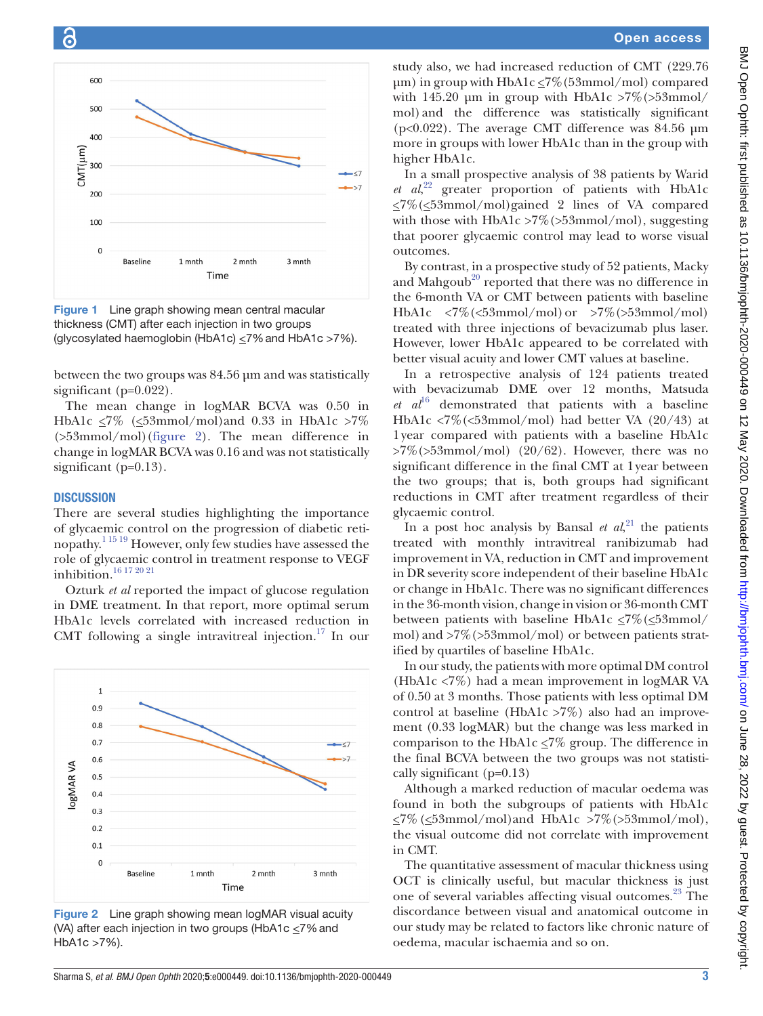



<span id="page-2-0"></span>Figure 1 Line graph showing mean central macular thickness (CMT) after each injection in two groups (glycosylated haemoglobin (HbA1c)  $\leq$ 7% and HbA1c >7%).

between the two groups was 84.56 µm and was statistically significant (p=0.022).

The mean change in logMAR BCVA was 0.50 in HbA1c  $\leq$ 7% ( $\leq$ 53mmol/mol)and 0.33 in HbA1c  $>$ 7% (>53mmol/mol)[\(figure](#page-2-1) 2). The mean difference in change in logMAR BCVA was 0.16 and was not statistically significant (p=0.13).

#### **DISCUSSION**

There are several studies highlighting the importance of glycaemic control on the progression of diabetic retinopathy.[1 15 19](#page-3-9) However, only few studies have assessed the role of glycaemic control in treatment response to VEGF inhibition.[16 17 20 21](#page-3-6)

Ozturk *et al* reported the impact of glucose regulation in DME treatment. In that report, more optimal serum HbA1c levels correlated with increased reduction in CMT following a single intravitreal injection.<sup>17</sup> In our



<span id="page-2-1"></span>Figure 2 Line graph showing mean logMAR visual acuity (VA) after each injection in two groups (HbA1c  $\leq$ 7% and HbA1c >7%).

study also, we had increased reduction of CMT (229.76  $\mu$ m) in group with HbA1c  $\leq$ 7%(53mmol/mol) compared with 145.20  $\mu$ m in group with HbA1c >7%(>53mmol/ mol) and the difference was statistically significant (p<0.022). The average CMT difference was 84.56 µm more in groups with lower HbA1c than in the group with higher HbA1c.

In a small prospective analysis of 38 patients by Warid *et al*, [22](#page-4-0) greater proportion of patients with HbA1c  $\leq$ 7%( $\leq$ 53mmol/mol)gained 2 lines of VA compared with those with HbA1c  $>7\%$  ( $>53$ mmol/mol), suggesting that poorer glycaemic control may lead to worse visual outcomes.

By contrast, in a prospective study of 52 patients, Macky and Mahgoub<sup>20</sup> reported that there was no difference in the 6-month VA or CMT between patients with baseline HbA1c  $\langle 7\% (\langle 53 \text{mmol/mol}) \text{ or } >7\% (\langle 53 \text{mmol/mol}) \text{ }\rangle$ treated with three injections of bevacizumab plus laser. However, lower HbA1c appeared to be correlated with better visual acuity and lower CMT values at baseline.

In a retrospective analysis of 124 patients treated with bevacizumab DME over 12 months, Matsuda  $et \text{ } a l^{16}$  $et \text{ } a l^{16}$  $et \text{ } a l^{16}$  demonstrated that patients with a baseline HbA1c <7%(<53mmol/mol) had better VA (20/43) at 1year compared with patients with a baseline HbA1c  $>7\%$  ( $>53$ mmol/mol) (20/62). However, there was no significant difference in the final CMT at 1year between the two groups; that is, both groups had significant reductions in CMT after treatment regardless of their glycaemic control.

In a post hoc analysis by Bansal  $et \ al^{21}$  $et \ al^{21}$  $et \ al^{21}$ , the patients treated with monthly intravitreal ranibizumab had improvement in VA, reduction in CMT and improvement in DR severity score independent of their baseline HbA1c or change in HbA1c. There was no significant differences in the 36-month vision, change in vision or 36-month CMT between patients with baseline HbA1c  $\leq$ 7%( $\leq$ 53mmol/ mol) and >7%(>53mmol/mol) or between patients stratified by quartiles of baseline HbA1c.

In our study, the patients with more optimal DM control (HbA1c <7%) had a mean improvement in logMAR VA of 0.50 at 3 months. Those patients with less optimal DM control at baseline (HbA1c >7%) also had an improvement (0.33 logMAR) but the change was less marked in comparison to the HbA1c  $\leq$ 7% group. The difference in the final BCVA between the two groups was not statistically significant (p=0.13)

Although a marked reduction of macular oedema was found in both the subgroups of patients with HbA1c  $\leq$ 7% ( $\leq$ 53mmol/mol)and HbA1c >7% (>53mmol/mol), the visual outcome did not correlate with improvement in CMT.

The quantitative assessment of macular thickness using OCT is clinically useful, but macular thickness is just one of several variables affecting visual outcomes.<sup>[23](#page-4-2)</sup> The discordance between visual and anatomical outcome in our study may be related to factors like chronic nature of oedema, macular ischaemia and so on.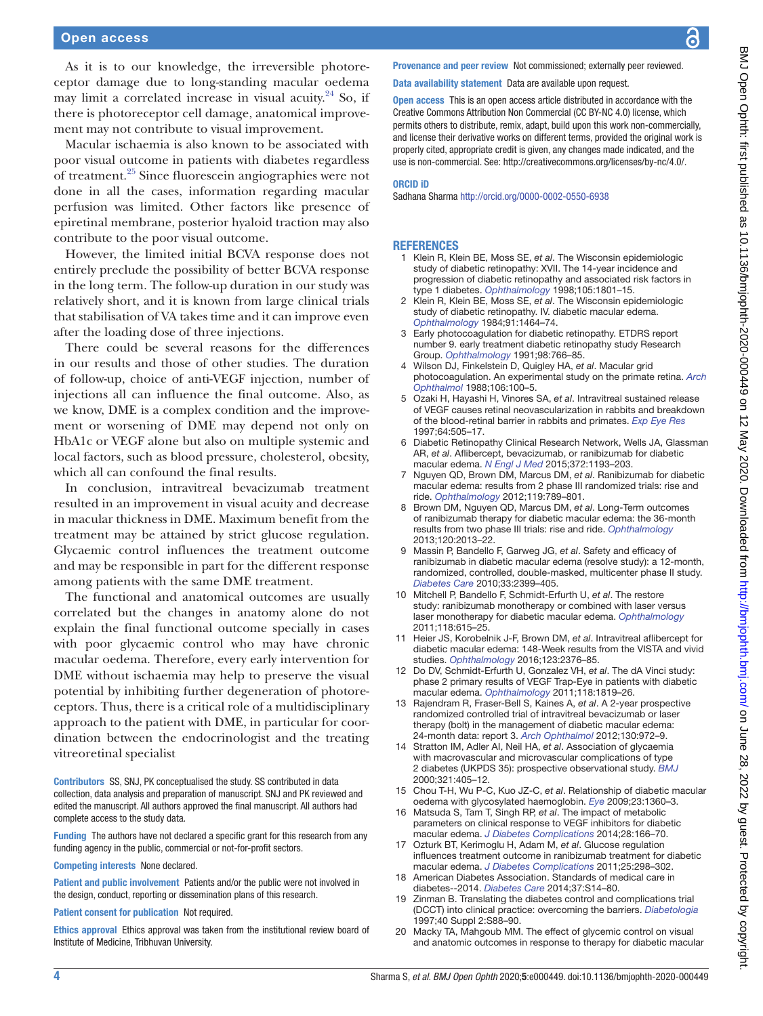## Open access

As it is to our knowledge, the irreversible photoreceptor damage due to long-standing macular oedema may limit a correlated increase in visual acuity. [24](#page-4-3) So, if there is photoreceptor cell damage, anatomical improvement may not contribute to visual improvement.

Macular ischaemia is also known to be associated with poor visual outcome in patients with diabetes regardless of treatment[.25](#page-4-4) Since fluorescein angiographies were not done in all the cases, information regarding macular perfusion was limited. Other factors like presence of epiretinal membrane, posterior hyaloid traction may also contribute to the poor visual outcome.

However, the limited initial BCVA response does not entirely preclude the possibility of better BCVA response in the long term. The follow-up duration in our study was relatively short, and it is known from large clinical trials that stabilisation of VA takes time and it can improve even after the loading dose of three injections.

There could be several reasons for the differences in our results and those of other studies. The duration of follow-up, choice of anti-VEGF injection, number of injections all can influence the final outcome. Also, as we know, DME is a complex condition and the improvement or worsening of DME may depend not only on HbA1c or VEGF alone but also on multiple systemic and local factors, such as blood pressure, cholesterol, obesity, which all can confound the final results.

In conclusion, intravitreal bevacizumab treatment resulted in an improvement in visual acuity and decrease in macular thickness in DME. Maximum benefit from the treatment may be attained by strict glucose regulation. Glycaemic control influences the treatment outcome and may be responsible in part for the different response among patients with the same DME treatment.

The functional and anatomical outcomes are usually correlated but the changes in anatomy alone do not explain the final functional outcome specially in cases with poor glycaemic control who may have chronic macular oedema. Therefore, every early intervention for DME without ischaemia may help to preserve the visual potential by inhibiting further degeneration of photoreceptors. Thus, there is a critical role of a multidisciplinary approach to the patient with DME, in particular for coordination between the endocrinologist and the treating vitreoretinal specialist

Contributors SS, SNJ, PK conceptualised the study. SS contributed in data collection, data analysis and preparation of manuscript. SNJ and PK reviewed and edited the manuscript. All authors approved the final manuscript. All authors had complete access to the study data.

Funding The authors have not declared a specific grant for this research from any funding agency in the public, commercial or not-for-profit sectors.

Competing interests None declared.

Patient and public involvement Patients and/or the public were not involved in the design, conduct, reporting or dissemination plans of this research.

Patient consent for publication Not required.

Ethics approval Ethics approval was taken from the institutional review board of Institute of Medicine, Tribhuvan University.

Provenance and peer review Not commissioned; externally peer reviewed.

Data availability statement Data are available upon request.

Open access This is an open access article distributed in accordance with the Creative Commons Attribution Non Commercial (CC BY-NC 4.0) license, which permits others to distribute, remix, adapt, build upon this work non-commercially, and license their derivative works on different terms, provided the original work is properly cited, appropriate credit is given, any changes made indicated, and the use is non-commercial. See:<http://creativecommons.org/licenses/by-nc/4.0/>.

#### ORCID iD

Sadhana Sharma<http://orcid.org/0000-0002-0550-6938>

#### **REFERENCES**

- <span id="page-3-9"></span>1 Klein R, Klein BE, Moss SE, *et al*. The Wisconsin epidemiologic study of diabetic retinopathy: XVII. The 14-year incidence and progression of diabetic retinopathy and associated risk factors in type 1 diabetes. *[Ophthalmology](http://dx.doi.org/10.1016/S0161-6420(98)91020-X)* 1998;105:1801–15.
- 2 Klein R, Klein BE, Moss SE, *et al*. The Wisconsin epidemiologic study of diabetic retinopathy. IV. diabetic macular edema. *[Ophthalmology](http://dx.doi.org/10.1016/s0161-6420(84)34102-1)* 1984;91:1464–74.
- 3 Early photocoagulation for diabetic retinopathy. ETDRS report number 9. early treatment diabetic retinopathy study Research Group. *[Ophthalmology](http://dx.doi.org/10.1016/S0161-6420(13)38011-7)* 1991;98:766–85.
- 4 Wilson DJ, Finkelstein D, Quigley HA, *et al*. Macular grid photocoagulation. An experimental study on the primate retina. *[Arch](http://dx.doi.org/10.1001/archopht.1988.01060130106038)  [Ophthalmol](http://dx.doi.org/10.1001/archopht.1988.01060130106038)* 1988;106:100–5.
- 5 Ozaki H, Hayashi H, Vinores SA, *et al*. Intravitreal sustained release of VEGF causes retinal neovascularization in rabbits and breakdown of the blood-retinal barrier in rabbits and primates. *[Exp Eye Res](http://dx.doi.org/10.1006/exer.1996.0239)* 1997;64:505–17.
- 6 Diabetic Retinopathy Clinical Research Network, Wells JA, Glassman AR, *et al*. Aflibercept, bevacizumab, or ranibizumab for diabetic macular edema. *[N Engl J Med](http://dx.doi.org/10.1056/NEJMoa1414264)* 2015;372:1193–203.
- <span id="page-3-0"></span>7 Nguyen QD, Brown DM, Marcus DM, *et al*. Ranibizumab for diabetic macular edema: results from 2 phase III randomized trials: rise and ride. *[Ophthalmology](http://dx.doi.org/10.1016/j.ophtha.2011.12.039)* 2012;119:789–801.
- 8 Brown DM, Nguyen QD, Marcus DM, *et al*. Long-Term outcomes of ranibizumab therapy for diabetic macular edema: the 36-month results from two phase III trials: rise and ride. *[Ophthalmology](http://dx.doi.org/10.1016/j.ophtha.2013.02.034)* 2013;120:2013–22.
- <span id="page-3-1"></span>9 Massin P, Bandello F, Garweg JG, *et al*. Safety and efficacy of ranibizumab in diabetic macular edema (resolve study): a 12-month, randomized, controlled, double-masked, multicenter phase II study. *[Diabetes Care](http://dx.doi.org/10.2337/dc10-0493)* 2010;33:2399–405.
- <span id="page-3-2"></span>10 Mitchell P, Bandello F, Schmidt-Erfurth U, *et al*. The restore study: ranibizumab monotherapy or combined with laser versus laser monotherapy for diabetic macular edema. *[Ophthalmology](http://dx.doi.org/10.1016/j.ophtha.2011.01.031)* 2011;118:615–25.
- <span id="page-3-3"></span>11 Heier JS, Korobelnik J-F, Brown DM, *et al*. Intravitreal aflibercept for diabetic macular edema: 148-Week results from the VISTA and vivid studies. *[Ophthalmology](http://dx.doi.org/10.1016/j.ophtha.2016.07.032)* 2016;123:2376–85.
- 12 Do DV, Schmidt-Erfurth U, Gonzalez VH, *et al*. The dA Vinci study: phase 2 primary results of VEGF Trap-Eye in patients with diabetic macular edema. *[Ophthalmology](http://dx.doi.org/10.1016/j.ophtha.2011.02.018)* 2011;118:1819–26.
- 13 Rajendram R, Fraser-Bell S, Kaines A, *et al*. A 2-year prospective randomized controlled trial of intravitreal bevacizumab or laser therapy (bolt) in the management of diabetic macular edema: 24-month data: report 3. *[Arch Ophthalmol](http://dx.doi.org/10.1001/archophthalmol.2012.393)* 2012;130:972–9.
- <span id="page-3-4"></span>14 Stratton IM, Adler AI, Neil HA, *et al*. Association of glycaemia with macrovascular and microvascular complications of type 2 diabetes (UKPDS 35): prospective observational study. *[BMJ](http://dx.doi.org/10.1136/bmj.321.7258.405)* 2000;321:405–12.
- <span id="page-3-5"></span>15 Chou T-H, Wu P-C, Kuo JZ-C, *et al*. Relationship of diabetic macular oedema with glycosylated haemoglobin. *[Eye](http://dx.doi.org/10.1038/eye.2008.279)* 2009;23:1360–3.
- <span id="page-3-6"></span>16 Matsuda S, Tam T, Singh RP, *et al*. The impact of metabolic parameters on clinical response to VEGF inhibitors for diabetic macular edema. *[J Diabetes Complications](http://dx.doi.org/10.1016/j.jdiacomp.2013.11.009)* 2014;28:166–70.
- <span id="page-3-7"></span>17 Ozturk BT, Kerimoglu H, Adam M, *et al*. Glucose regulation influences treatment outcome in ranibizumab treatment for diabetic macular edema. *[J Diabetes Complications](http://dx.doi.org/10.1016/j.jdiacomp.2010.09.006)* 2011;25:298–302.
- <span id="page-3-8"></span>18 American Diabetes Association. Standards of medical care in diabetes--2014. *[Diabetes Care](http://dx.doi.org/10.2337/dc14-S014)* 2014;37:S14–80.
- 19 Zinman B. Translating the diabetes control and complications trial (DCCT) into clinical practice: overcoming the barriers. *[Diabetologia](http://dx.doi.org/10.1007/s001250051414)* 1997;40 Suppl 2:S88–90.
- <span id="page-3-10"></span>20 Macky TA, Mahgoub MM. The effect of glycemic control on visual and anatomic outcomes in response to therapy for diabetic macular